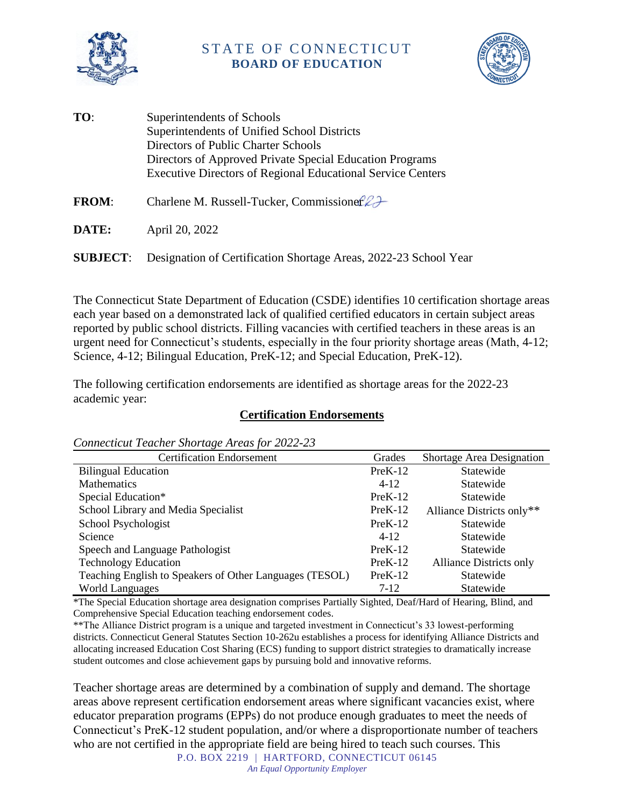

## STATE OF CONNECTICUT **BOARD OF EDUCATION**



**TO**: Superintendents of Schools Superintendents of Unified School Districts Directors of Public Charter Schools Directors of Approved Private Special Education Programs Executive Directors of Regional Educational Service Centers

**FROM:** Charlene M. Russell-Tucker, Commissioner $22$ 

**DATE:** April 20, 2022

**SUBJECT**: Designation of Certification Shortage Areas, 2022-23 School Year

The Connecticut State Department of Education (CSDE) identifies 10 certification shortage areas each year based on a demonstrated lack of qualified certified educators in certain subject areas reported by public school districts. Filling vacancies with certified teachers in these areas is an urgent need for Connecticut's students, especially in the four priority shortage areas (Math, 4-12; Science, 4-12; Bilingual Education, PreK-12; and Special Education, PreK-12).

The following certification endorsements are identified as shortage areas for the 2022-23 academic year:

## **Certification Endorsements**

| Connection Feacher Shortage In cas for $\frac{1}{2}$ as |           |                                |
|---------------------------------------------------------|-----------|--------------------------------|
| <b>Certification Endorsement</b>                        | Grades    | Shortage Area Designation      |
| <b>Bilingual Education</b>                              | $PreK-12$ | Statewide                      |
| <b>Mathematics</b>                                      | $4 - 12$  | Statewide                      |
| Special Education*                                      | $PreK-12$ | Statewide                      |
| School Library and Media Specialist                     | $PreK-12$ | Alliance Districts only**      |
| School Psychologist                                     | $PreK-12$ | Statewide                      |
| Science                                                 | $4 - 12$  | Statewide                      |
| Speech and Language Pathologist                         | $PreK-12$ | Statewide                      |
| <b>Technology Education</b>                             | $PreK-12$ | <b>Alliance Districts only</b> |
| Teaching English to Speakers of Other Languages (TESOL) | $PreK-12$ | Statewide                      |
| <b>World Languages</b>                                  | $7-12$    | Statewide                      |

*Connecticut Teacher Shortage Areas for 2022-23*

\*The Special Education shortage area designation comprises Partially Sighted, Deaf/Hard of Hearing, Blind, and Comprehensive Special Education teaching endorsement codes.

\*\*The Alliance District program is a unique and targeted investment in Connecticut's 33 lowest-performing districts. Connecticut General Statutes Section 10-262u establishes a process for identifying Alliance Districts and allocating increased Education Cost Sharing (ECS) funding to support district strategies to dramatically increase student outcomes and close achievement gaps by pursuing bold and innovative reforms.

P.O. BOX 2219 | HARTFORD, CONNECTICUT 06145 Teacher shortage areas are determined by a combination of supply and demand. The shortage areas above represent certification endorsement areas where significant vacancies exist, where educator preparation programs (EPPs) do not produce enough graduates to meet the needs of Connecticut's PreK-12 student population, and/or where a disproportionate number of teachers who are not certified in the appropriate field are being hired to teach such courses. This